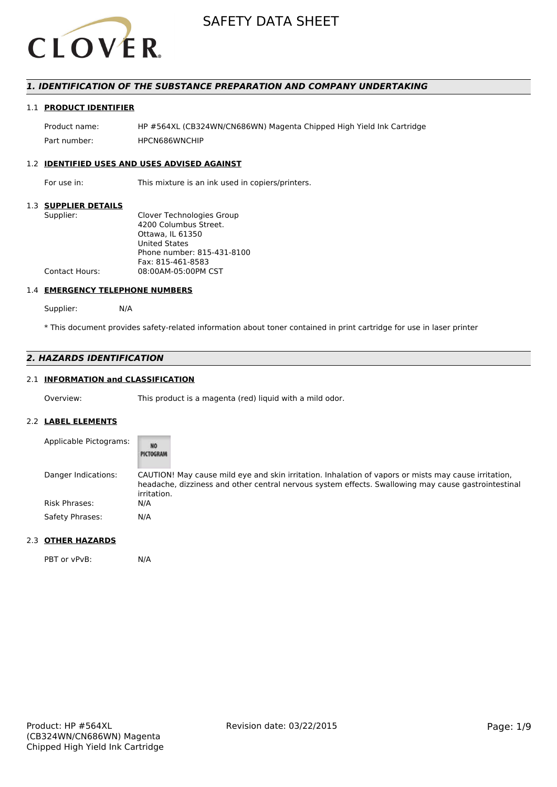

# *1. IDENTIFICATION OF THE SUBSTANCE PREPARATION AND COMPANY UNDERTAKING*

# 1.1 **PRODUCT IDENTIFIER**

Product name: HP #564XL (CB324WN/CN686WN) Magenta Chipped High Yield Ink Cartridge Part number: HPCN686WNCHIP

#### 1.2 **IDENTIFIED USES AND USES ADVISED AGAINST**

For use in: This mixture is an ink used in copiers/printers.

## 1.3 **SUPPLIER DETAILS**

| Supplier:             | Clover Technologies Group  |
|-----------------------|----------------------------|
|                       | 4200 Columbus Street.      |
|                       | Ottawa. IL 61350           |
|                       | <b>United States</b>       |
|                       | Phone number: 815-431-8100 |
|                       | Fax: 815-461-8583          |
| <b>Contact Hours:</b> | 08:00AM-05:00PM CST        |
|                       |                            |

# 1.4 **EMERGENCY TELEPHONE NUMBERS**

Supplier: N/A

\* This document provides safety-related information about toner contained in print cartridge for use in laser printer

# *2. HAZARDS IDENTIFICATION*

# 2.1 **INFORMATION and CLASSIFICATION**

Overview: This product is a magenta (red) liquid with a mild odor.

## 2.2 **LABEL ELEMENTS**

| Applicable Pictograms: | NO<br>PICTOGRAM                                                                                                                                                                                                            |
|------------------------|----------------------------------------------------------------------------------------------------------------------------------------------------------------------------------------------------------------------------|
| Danger Indications:    | CAUTION! May cause mild eye and skin irritation. Inhalation of vapors or mists may cause irritation,<br>headache, dizziness and other central nervous system effects. Swallowing may cause gastrointestinal<br>irritation. |
| <b>Risk Phrases:</b>   | N/A                                                                                                                                                                                                                        |
| Safety Phrases:        | N/A                                                                                                                                                                                                                        |

## 2.3 **OTHER HAZARDS**

PBT or vPvB: N/A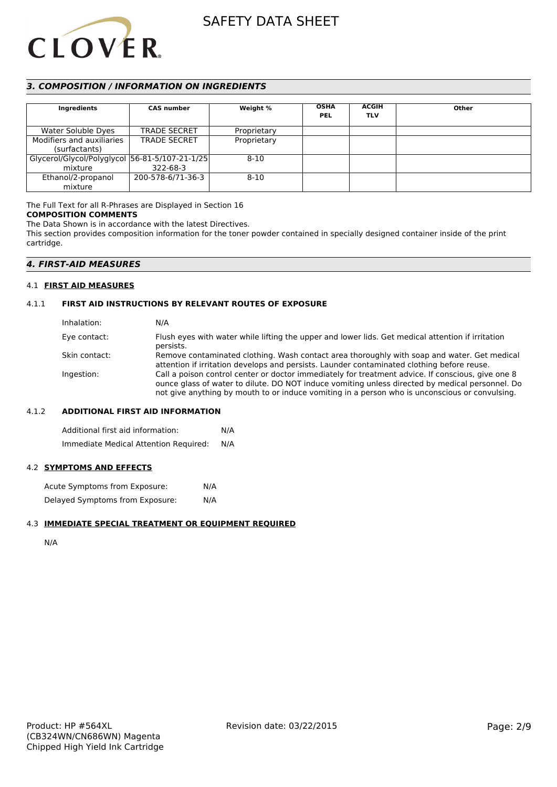

# *3. COMPOSITION / INFORMATION ON INGREDIENTS*

| Ingredients                                    | <b>CAS number</b>   | Weight %    | <b>OSHA</b><br><b>PEL</b> | <b>ACGIH</b><br><b>TLV</b> | Other |
|------------------------------------------------|---------------------|-------------|---------------------------|----------------------------|-------|
| Water Soluble Dyes                             | <b>TRADE SECRET</b> | Proprietary |                           |                            |       |
| Modifiers and auxiliaries                      | <b>TRADE SECRET</b> | Proprietary |                           |                            |       |
| (surfactants)                                  |                     |             |                           |                            |       |
| Glycerol/Glycol/Polyglycol 56-81-5/107-21-1/25 |                     | $8 - 10$    |                           |                            |       |
| mixture                                        | 322-68-3            |             |                           |                            |       |
| Ethanol/2-propanol                             | 200-578-6/71-36-3   | $8 - 10$    |                           |                            |       |
| mixture                                        |                     |             |                           |                            |       |

The Full Text for all R-Phrases are Displayed in Section 16 **COMPOSITION COMMENTS**

The Data Shown is in accordance with the latest Directives.

This section provides composition information for the toner powder contained in specially designed container inside of the print cartridge.

# *4. FIRST-AID MEASURES*

## 4.1 **FIRST AID MEASURES**

# 4.1.1 **FIRST AID INSTRUCTIONS BY RELEVANT ROUTES OF EXPOSURE**

| Inhalation:   | N/A                                                                                                                                                                                                                                                                                                    |
|---------------|--------------------------------------------------------------------------------------------------------------------------------------------------------------------------------------------------------------------------------------------------------------------------------------------------------|
| Eye contact:  | Flush eyes with water while lifting the upper and lower lids. Get medical attention if irritation<br>persists.                                                                                                                                                                                         |
| Skin contact: | Remove contaminated clothing. Wash contact area thoroughly with soap and water. Get medical<br>attention if irritation develops and persists. Launder contaminated clothing before reuse.                                                                                                              |
| Ingestion:    | Call a poison control center or doctor immediately for treatment advice. If conscious, give one 8<br>ounce glass of water to dilute. DO NOT induce vomiting unless directed by medical personnel. Do<br>not give anything by mouth to or induce vomiting in a person who is unconscious or convulsing. |

### 4.1.2 **ADDITIONAL FIRST AID INFORMATION**

Additional first aid information: N/A Immediate Medical Attention Required: N/A

# 4.2 **SYMPTOMS AND EFFECTS**

Acute Symptoms from Exposure: N/A Delayed Symptoms from Exposure: N/A

### 4.3 **IMMEDIATE SPECIAL TREATMENT OR EQUIPMENT REQUIRED**

N/A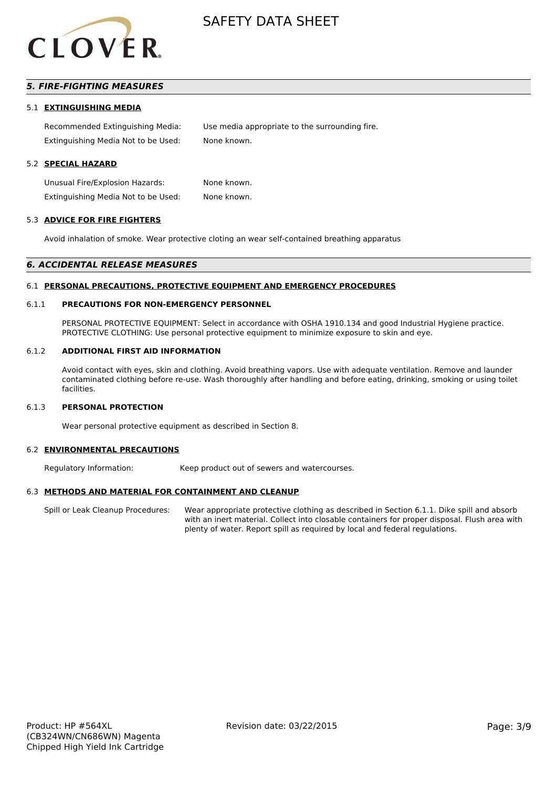

# *5. FIRE-FIGHTING MEASURES*

#### 5.1 **EXTINGUISHING MEDIA**

Recommended Extinguishing Media: Use media appropriate to the surrounding fire. Extinguishing Media Not to be Used: None known.

# 5.2 **SPECIAL HAZARD**

Unusual Fire/Explosion Hazards: None known. Extinguishing Media Not to be Used: None known.

#### 5.3 **ADVICE FOR FIRE FIGHTERS**

Avoid inhalation of smoke. Wear protective cloting an wear self-contained breathing apparatus

#### *6. ACCIDENTAL RELEASE MEASURES*

#### 6.1 **PERSONAL PRECAUTIONS, PROTECTIVE EQUIPMENT AND EMERGENCY PROCEDURES**

### 6.1.1 **PRECAUTIONS FOR NON-EMERGENCY PERSONNEL**

PERSONAL PROTECTIVE EQUIPMENT: Select in accordance with OSHA 1910.134 and good Industrial Hygiene practice. PROTECTIVE CLOTHING: Use personal protective equipment to minimize exposure to skin and eye.

#### 6.1.2 **ADDITIONAL FIRST AID INFORMATION**

Avoid contact with eyes, skin and clothing. Avoid breathing vapors. Use with adequate ventilation. Remove and launder contaminated clothing before re-use. Wash thoroughly after handling and before eating, drinking, smoking or using toilet facilities.

### 6.1.3 **PERSONAL PROTECTION**

Wear personal protective equipment as described in Section 8.

#### 6.2 **ENVIRONMENTAL PRECAUTIONS**

Regulatory Information: Keep product out of sewers and watercourses.

## 6.3 **METHODS AND MATERIAL FOR CONTAINMENT AND CLEANUP**

Spill or Leak Cleanup Procedures: Wear appropriate protective clothing as described in Section 6.1.1. Dike spill and absorb with an inert material. Collect into closable containers for proper disposal. Flush area with plenty of water. Report spill as required by local and federal regulations.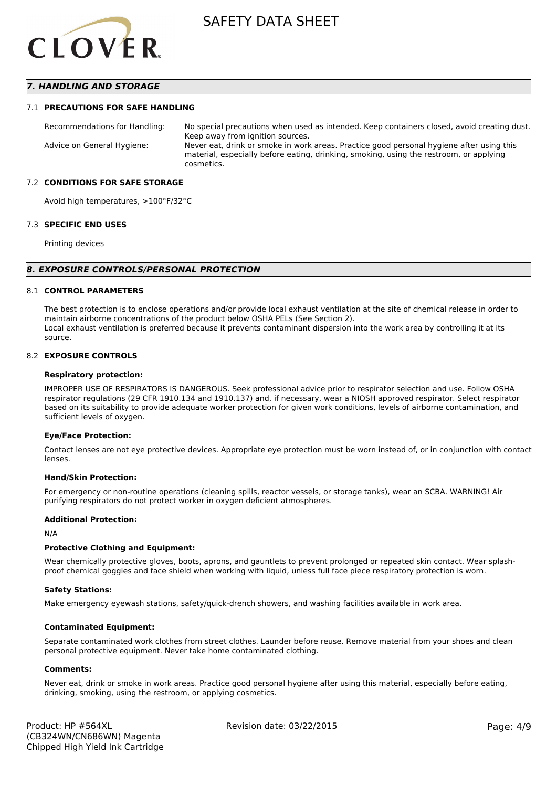

# *7. HANDLING AND STORAGE*

#### 7.1 **PRECAUTIONS FOR SAFE HANDLING**

Recommendations for Handling: No special precautions when used as intended. Keep containers closed, avoid creating dust. Keep away from ignition sources. Advice on General Hygiene: Never eat, drink or smoke in work areas. Practice good personal hygiene after using this material, especially before eating, drinking, smoking, using the restroom, or applying cosmetics.

#### 7.2 **CONDITIONS FOR SAFE STORAGE**

Avoid high temperatures, >100°F/32°C

#### 7.3 **SPECIFIC END USES**

Printing devices

#### *8. EXPOSURE CONTROLS/PERSONAL PROTECTION*

#### 8.1 **CONTROL PARAMETERS**

The best protection is to enclose operations and/or provide local exhaust ventilation at the site of chemical release in order to maintain airborne concentrations of the product below OSHA PELs (See Section 2). Local exhaust ventilation is preferred because it prevents contaminant dispersion into the work area by controlling it at its source.

#### 8.2 **EXPOSURE CONTROLS**

#### **Respiratory protection:**

IMPROPER USE OF RESPIRATORS IS DANGEROUS. Seek professional advice prior to respirator selection and use. Follow OSHA respirator regulations (29 CFR 1910.134 and 1910.137) and, if necessary, wear a NIOSH approved respirator. Select respirator based on its suitability to provide adequate worker protection for given work conditions, levels of airborne contamination, and sufficient levels of oxygen.

#### **Eye/Face Protection:**

Contact lenses are not eye protective devices. Appropriate eye protection must be worn instead of, or in conjunction with contact lenses.

#### **Hand/Skin Protection:**

For emergency or non-routine operations (cleaning spills, reactor vessels, or storage tanks), wear an SCBA. WARNING! Air purifying respirators do not protect worker in oxygen deficient atmospheres.

## **Additional Protection:**

N/A

### **Protective Clothing and Equipment:**

Wear chemically protective gloves, boots, aprons, and gauntlets to prevent prolonged or repeated skin contact. Wear splashproof chemical goggles and face shield when working with liquid, unless full face piece respiratory protection is worn.

#### **Safety Stations:**

Make emergency eyewash stations, safety/quick-drench showers, and washing facilities available in work area.

#### **Contaminated Equipment:**

Separate contaminated work clothes from street clothes. Launder before reuse. Remove material from your shoes and clean personal protective equipment. Never take home contaminated clothing.

#### **Comments:**

Never eat, drink or smoke in work areas. Practice good personal hygiene after using this material, especially before eating, drinking, smoking, using the restroom, or applying cosmetics.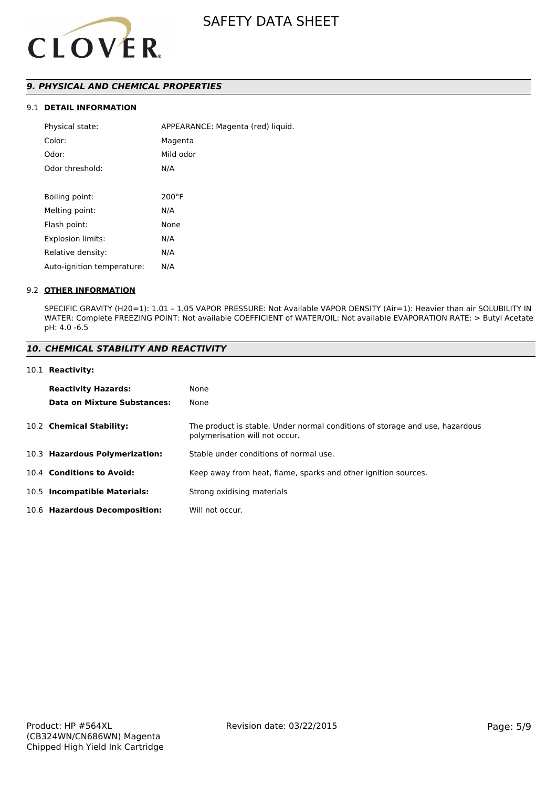

# *9. PHYSICAL AND CHEMICAL PROPERTIES*

# 9.1 **DETAIL INFORMATION**

| Physical state:            | APPEARANCE: Magenta (red) liquid. |
|----------------------------|-----------------------------------|
| Color:                     | Magenta                           |
| Odor:                      | Mild odor                         |
| Odor threshold:            | N/A                               |
|                            |                                   |
| Boiling point:             | $200^{\circ}$ F                   |
| Melting point:             | N/A                               |
| Flash point:               | None                              |
| <b>Explosion limits:</b>   | N/A                               |
| Relative density:          | N/A                               |
| Auto-ignition temperature: | N/A                               |

### 9.2 **OTHER INFORMATION**

SPECIFIC GRAVITY (H20=1): 1.01 – 1.05 VAPOR PRESSURE: Not Available VAPOR DENSITY (Air=1): Heavier than air SOLUBILITY IN WATER: Complete FREEZING POINT: Not available COEFFICIENT of WATER/OIL: Not available EVAPORATION RATE: > Butyl Acetate pH: 4.0 -6.5

## *10. CHEMICAL STABILITY AND REACTIVITY*

#### 10.1 **Reactivity:**

| <b>Reactivity Hazards:</b>     | None                                                                                                           |
|--------------------------------|----------------------------------------------------------------------------------------------------------------|
| Data on Mixture Substances:    | None                                                                                                           |
| 10.2 Chemical Stability:       | The product is stable. Under normal conditions of storage and use, hazardous<br>polymerisation will not occur. |
| 10.3 Hazardous Polymerization: | Stable under conditions of normal use.                                                                         |
| 10.4 Conditions to Avoid:      | Keep away from heat, flame, sparks and other ignition sources.                                                 |
| 10.5 Incompatible Materials:   | Strong oxidising materials                                                                                     |
| 10.6 Hazardous Decomposition:  | Will not occur.                                                                                                |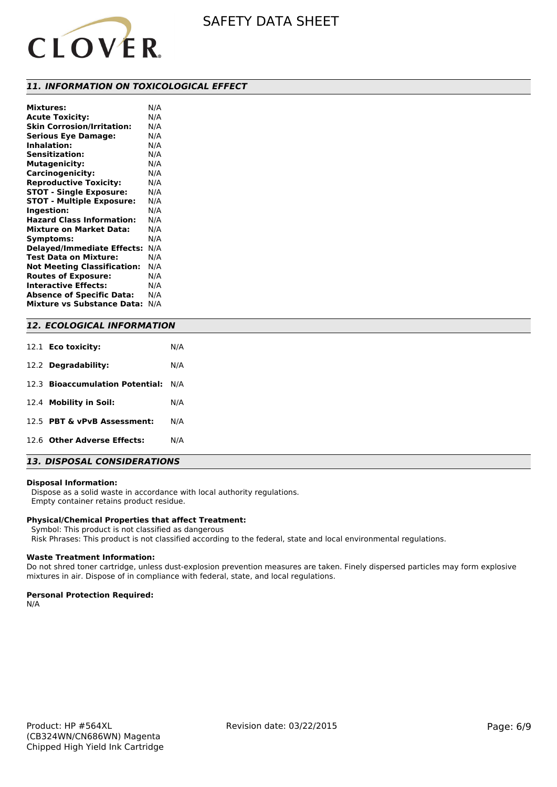

## *11. INFORMATION ON TOXICOLOGICAL EFFECT*

| <b>Mixtures:</b>                   | N/A |
|------------------------------------|-----|
| <b>Acute Toxicity:</b>             | N/A |
| <b>Skin Corrosion/Irritation:</b>  | N/A |
| <b>Serious Eye Damage:</b>         | N/A |
| <b>Inhalation:</b>                 | N/A |
| <b>Sensitization:</b>              | N/A |
| <b>Mutagenicity:</b>               | N/A |
| Carcinogenicity:                   | N/A |
| <b>Reproductive Toxicity:</b>      | N/A |
| <b>STOT - Single Exposure:</b>     | N/A |
| <b>STOT - Multiple Exposure:</b>   | N/A |
| Ingestion:                         | N/A |
| <b>Hazard Class Information:</b>   | N/A |
| <b>Mixture on Market Data:</b>     | N/A |
| Symptoms:                          | N/A |
| <b>Delayed/Immediate Effects:</b>  | N/A |
| Test Data on Mixture:              | N/A |
| <b>Not Meeting Classification:</b> | N/A |
| <b>Routes of Exposure:</b>         | N/A |
| <b>Interactive Effects:</b>        | N/A |
| <b>Absence of Specific Data:</b>   | N/A |
| <b>Mixture vs Substance Data:</b>  | N/A |

# *12. ECOLOGICAL INFORMATION*

| 12.1 <b>Eco toxicity:</b>           | N/A |
|-------------------------------------|-----|
| 12.2 Degradability:                 | N/A |
| 12.3 Bioaccumulation Potential: N/A |     |
| 12.4 Mobility in Soil:              | N/A |
| 12.5 PBT & vPvB Assessment:         | N/A |
| 12.6 Other Adverse Effects:         | N/A |

# *13. DISPOSAL CONSIDERATIONS*

#### **Disposal Information:**

 Dispose as a solid waste in accordance with local authority regulations. Empty container retains product residue.

#### **Physical/Chemical Properties that affect Treatment:**

Symbol: This product is not classified as dangerous

Risk Phrases: This product is not classified according to the federal, state and local environmental regulations.

#### **Waste Treatment Information:**

Do not shred toner cartridge, unless dust-explosion prevention measures are taken. Finely dispersed particles may form explosive mixtures in air. Dispose of in compliance with federal, state, and local regulations.

#### **Personal Protection Required:**

N/A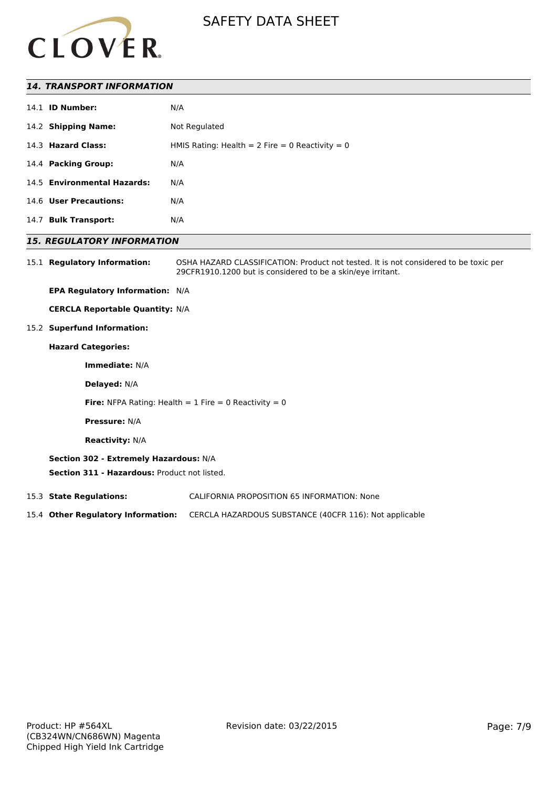

# *14. TRANSPORT INFORMATION*

|                        | N/A                                                                                                                                                 |
|------------------------|-----------------------------------------------------------------------------------------------------------------------------------------------------|
|                        | Not Regulated                                                                                                                                       |
|                        | HMIS Rating: Health = 2 Fire = 0 Reactivity = 0                                                                                                     |
|                        | N/A                                                                                                                                                 |
|                        | N/A                                                                                                                                                 |
|                        | N/A                                                                                                                                                 |
| <b>Bulk Transport:</b> | N/A                                                                                                                                                 |
|                        | 14.1 <b>ID Number:</b><br>14.2 Shipping Name:<br>14.3 Hazard Class:<br>14.4 Packing Group:<br>14.5 Environmental Hazards:<br>14.6 User Precautions: |

# *15. REGULATORY INFORMATION*

15.1 **Regulatory Information:** OSHA HAZARD CLASSIFICATION: Product not tested. It is not considered to be toxic per 29CFR1910.1200 but is considered to be a skin/eye irritant.

**EPA Regulatory Information:** N/A

**CERCLA Reportable Quantity:** N/A

15.2 **Superfund Information:**

# **Hazard Categories:**

**Immediate:** N/A

**Delayed:** N/A

**Fire:** NFPA Rating: Health  $= 1$  Fire  $= 0$  Reactivity  $= 0$ 

**Pressure:** N/A

**Reactivity:** N/A

### **Section 302 - Extremely Hazardous:** N/A

**Section 311 - Hazardous:** Product not listed.

15.3 **State Regulations:** CALIFORNIA PROPOSITION 65 INFORMATION: None

15.4 **Other Regulatory Information:** CERCLA HAZARDOUS SUBSTANCE (40CFR 116): Not applicable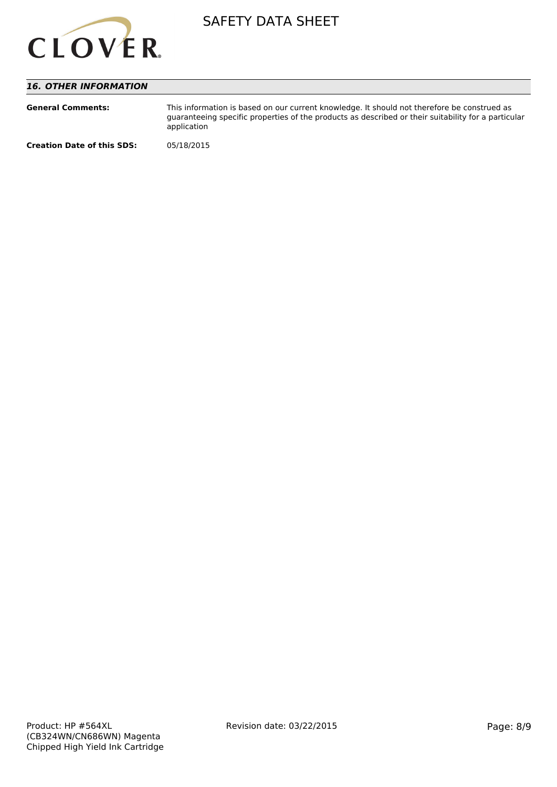

# *16. OTHER INFORMATION*

| <b>General Comments:</b>          | This information is based on our current knowledge. It should not therefore be construed as<br>guaranteeing specific properties of the products as described or their suitability for a particular<br>application |
|-----------------------------------|-------------------------------------------------------------------------------------------------------------------------------------------------------------------------------------------------------------------|
| <b>Creation Date of this SDS:</b> | 05/18/2015                                                                                                                                                                                                        |